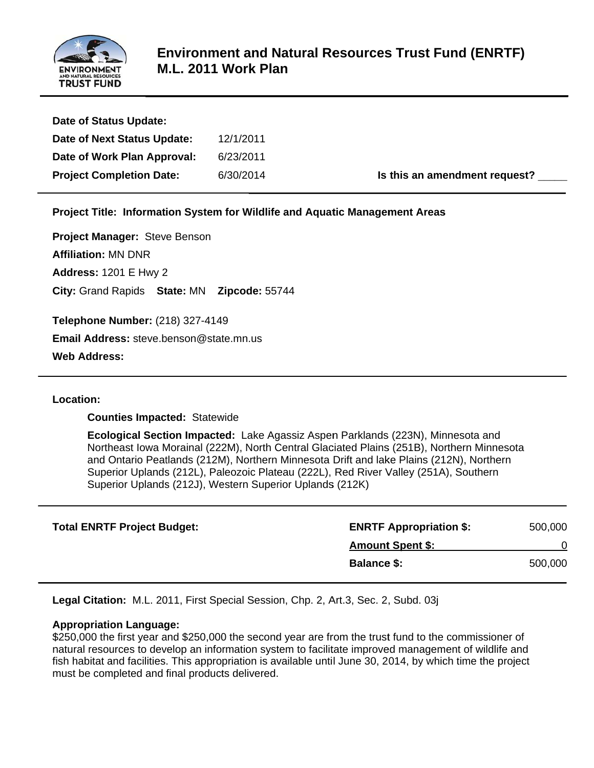

| ENVIRONMENT<br><b>AND NATURAL RESOUICES</b><br><b>TRUST FUND</b>                                                                           | <b>M.L. 2011 Work Plan</b>                               | <b>Environment and Natural Resources Trust Fund (ENRTF)</b>                                                                                                                                                                                                                                                                                                     |         |
|--------------------------------------------------------------------------------------------------------------------------------------------|----------------------------------------------------------|-----------------------------------------------------------------------------------------------------------------------------------------------------------------------------------------------------------------------------------------------------------------------------------------------------------------------------------------------------------------|---------|
| Date of Status Update:                                                                                                                     |                                                          |                                                                                                                                                                                                                                                                                                                                                                 |         |
| Date of Next Status Update:                                                                                                                | 12/1/2011                                                |                                                                                                                                                                                                                                                                                                                                                                 |         |
| Date of Work Plan Approval:                                                                                                                | 6/23/2011                                                |                                                                                                                                                                                                                                                                                                                                                                 |         |
| <b>Project Completion Date:</b>                                                                                                            | 6/30/2014                                                | Is this an amendment request?                                                                                                                                                                                                                                                                                                                                   |         |
|                                                                                                                                            |                                                          | Project Title: Information System for Wildlife and Aquatic Management Areas                                                                                                                                                                                                                                                                                     |         |
| Project Manager: Steve Benson<br><b>Affiliation: MN DNR</b><br><b>Address: 1201 E Hwy 2</b><br>City: Grand Rapids State: MN Zipcode: 55744 |                                                          |                                                                                                                                                                                                                                                                                                                                                                 |         |
| Telephone Number: (218) 327-4149                                                                                                           |                                                          |                                                                                                                                                                                                                                                                                                                                                                 |         |
| Email Address: steve.benson@state.mn.us                                                                                                    |                                                          |                                                                                                                                                                                                                                                                                                                                                                 |         |
| <b>Web Address:</b>                                                                                                                        |                                                          |                                                                                                                                                                                                                                                                                                                                                                 |         |
| <b>Location:</b><br><b>Counties Impacted: Statewide</b>                                                                                    | Superior Uplands (212J), Western Superior Uplands (212K) | Ecological Section Impacted: Lake Agassiz Aspen Parklands (223N), Minnesota and<br>Northeast Iowa Morainal (222M), North Central Glaciated Plains (251B), Northern Minnesota<br>and Ontario Peatlands (212M), Northern Minnesota Drift and lake Plains (212N), Northern<br>Superior Uplands (212L), Paleozoic Plateau (222L), Red River Valley (251A), Southern |         |
| <b>Total ENRTF Project Budget:</b>                                                                                                         |                                                          | <b>ENRTF Appropriation \$:</b>                                                                                                                                                                                                                                                                                                                                  | 500,000 |
|                                                                                                                                            |                                                          | <b>Amount Spent \$:</b>                                                                                                                                                                                                                                                                                                                                         | 0       |
|                                                                                                                                            |                                                          | <b>Balance \$:</b>                                                                                                                                                                                                                                                                                                                                              | 500,000 |
|                                                                                                                                            |                                                          | Legal Citation: M.L. 2011, First Special Session, Chp. 2, Art.3, Sec. 2, Subd. 03j                                                                                                                                                                                                                                                                              |         |
| <b>Appropriation Language:</b><br>must be completed and final products delivered.                                                          |                                                          | \$250,000 the first year and \$250,000 the second year are from the trust fund to the commissioner of<br>natural resources to develop an information system to facilitate improved management of wildlife and<br>fish habitat and facilities. This appropriation is available until June 30, 2014, by which time the project                                    |         |

#### **L Location:**

| <b>Total ENRTF Project Budget:</b> | <b>ENRTF Appropriation \$:</b> | 500,000 |
|------------------------------------|--------------------------------|---------|
|                                    | <b>Amount Spent \$:</b>        |         |
|                                    | <b>Balance \$:</b>             | 500,000 |

#### **Appropriation Language:**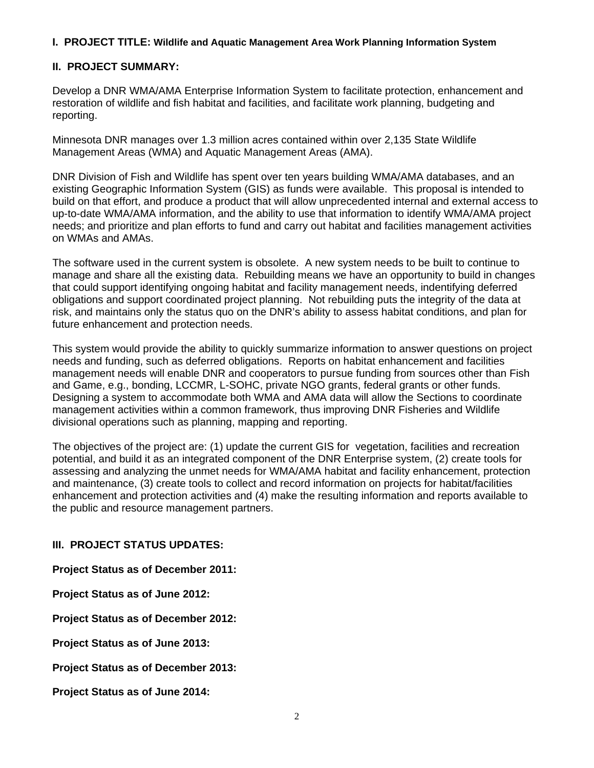# **I. PROJECT TITLE: Wildlife and Aquatic Management Area Work Planning Information System**

## **II. PROJECT SUMMARY:**

Develop a DNR WMA/AMA Enterprise Information System to facilitate protection, enhancement and restoration of wildlife and fish habitat and facilities, and facilitate work planning, budgeting and reporting.

Minnesota DNR manages over 1.3 million acres contained within over 2,135 State Wildlife Management Areas (WMA) and Aquatic Management Areas (AMA).

DNR Division of Fish and Wildlife has spent over ten years building WMA/AMA databases, and an existing Geographic Information System (GIS) as funds were available. This proposal is intended to build on that effort, and produce a product that will allow unprecedented internal and external access to up-to-date WMA/AMA information, and the ability to use that information to identify WMA/AMA project needs; and prioritize and plan efforts to fund and carry out habitat and facilities management activities on WMAs and AMAs.

The software used in the current system is obsolete. A new system needs to be built to continue to manage and share all the existing data. Rebuilding means we have an opportunity to build in changes that could support identifying ongoing habitat and facility management needs, indentifying deferred obligations and support coordinated project planning. Not rebuilding puts the integrity of the data at risk, and maintains only the status quo on the DNR's ability to assess habitat conditions, and plan for future enhancement and protection needs.

This system would provide the ability to quickly summarize information to answer questions on project needs and funding, such as deferred obligations. Reports on habitat enhancement and facilities management needs will enable DNR and cooperators to pursue funding from sources other than Fish and Game, e.g., bonding, LCCMR, L-SOHC, private NGO grants, federal grants or other funds. Designing a system to accommodate both WMA and AMA data will allow the Sections to coordinate management activities within a common framework, thus improving DNR Fisheries and Wildlife divisional operations such as planning, mapping and reporting.

The objectives of the project are: (1) update the current GIS for vegetation, facilities and recreation potential, and build it as an integrated component of the DNR Enterprise system, (2) create tools for assessing and analyzing the unmet needs for WMA/AMA habitat and facility enhancement, protection and maintenance, (3) create tools to collect and record information on projects for habitat/facilities enhancement and protection activities and (4) make the resulting information and reports available to the public and resource management partners.

## **III. PROJECT STATUS UPDATES:**

**Project Status as of December 2011:** 

**Project Status as of June 2012:**

**Project Status as of December 2012:**

**Project Status as of June 2013:**

**Project Status as of December 2013:**

**Project Status as of June 2014:**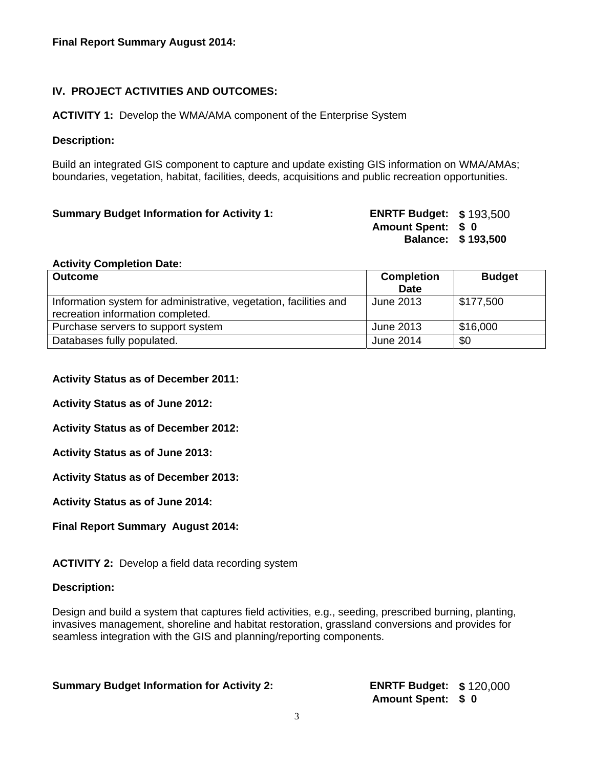# **IV. PROJECT ACTIVITIES AND OUTCOMES:**

**ACTIVITY 1:** Develop the WMA/AMA component of the Enterprise System

## **Description:**

Build an integrated GIS component to capture and update existing GIS information on WMA/AMAs; boundaries, vegetation, habitat, facilities, deeds, acquisitions and public recreation opportunities.

| <b>Summary Budget Information for Activity 1:</b> | <b>ENRTF Budget: \$193,500</b> |                    |
|---------------------------------------------------|--------------------------------|--------------------|
|                                                   | <b>Amount Spent: \$ 0</b>      |                    |
|                                                   |                                | Balance: \$193,500 |

#### **Activity Completion Date:**

| <b>Outcome</b>                                                                                         | <b>Completion</b> | <b>Budget</b> |
|--------------------------------------------------------------------------------------------------------|-------------------|---------------|
|                                                                                                        | <b>Date</b>       |               |
| Information system for administrative, vegetation, facilities and<br>recreation information completed. | June 2013         | \$177,500     |
| Purchase servers to support system                                                                     | June 2013         | \$16,000      |
| Databases fully populated.                                                                             | June 2014         | \$0           |

## **Activity Status as of December 2011:**

**Activity Status as of June 2012:**

**Activity Status as of December 2012:**

**Activity Status as of June 2013:**

**Activity Status as of December 2013:**

**Activity Status as of June 2014:** 

**Final Report Summary August 2014:**

**ACTIVITY 2:** Develop a field data recording system

#### **Description:**

Design and build a system that captures field activities, e.g., seeding, prescribed burning, planting, invasives management, shoreline and habitat restoration, grassland conversions and provides for seamless integration with the GIS and planning/reporting components.

**Summary Budget Information for Activity 2: ENRTF Budget: \$** 120,000

**Amount Spent: \$ 0**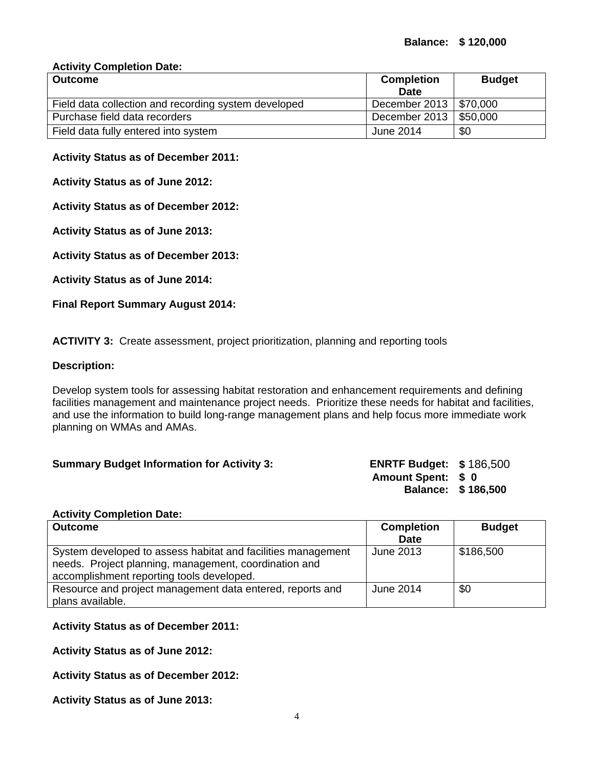# **Activity Completion Date:**

| <b>Outcome</b>                                       | <b>Completion</b><br><b>Date</b> | <b>Budget</b>        |
|------------------------------------------------------|----------------------------------|----------------------|
| Field data collection and recording system developed | December 2013   \$70,000         |                      |
| Purchase field data recorders                        | December 2013                    | $\parallel$ \$50,000 |
| Field data fully entered into system                 | June 2014                        | \$0                  |

## **Activity Status as of December 2011:**

**Activity Status as of June 2012:**

**Activity Status as of December 2012:**

**Activity Status as of June 2013:**

**Activity Status as of December 2013:**

**Activity Status as of June 2014:** 

**Final Report Summary August 2014:**

**ACTIVITY 3:** Create assessment, project prioritization, planning and reporting tools

#### **Description:**

Develop system tools for assessing habitat restoration and enhancement requirements and defining facilities management and maintenance project needs. Prioritize these needs for habitat and facilities, and use the information to build long-range management plans and help focus more immediate work planning on WMAs and AMAs.

#### **Summary Budget Information for Activity 3: ENRTF Budget: \$** 186,500

**Amount Spent: \$ 0 Balance: \$ 186,500** 

#### **Activity Completion Date:**

| <b>Outcome</b>                                                                                                                                                     | <b>Completion</b> | <b>Budget</b> |  |
|--------------------------------------------------------------------------------------------------------------------------------------------------------------------|-------------------|---------------|--|
|                                                                                                                                                                    | <b>Date</b>       |               |  |
| System developed to assess habitat and facilities management<br>needs. Project planning, management, coordination and<br>accomplishment reporting tools developed. | June 2013         | \$186,500     |  |
| Resource and project management data entered, reports and                                                                                                          | June 2014         | \$0           |  |
| plans available.                                                                                                                                                   |                   |               |  |

# **Activity Status as of December 2011:**

**Activity Status as of June 2012:**

**Activity Status as of December 2012:**

**Activity Status as of June 2013:**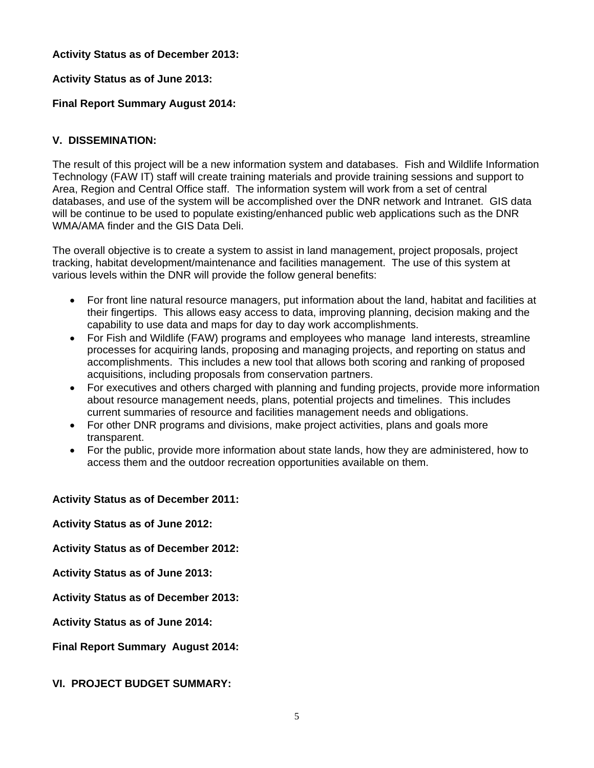## **Activity Status as of December 2013:**

## **Activity Status as of June 2013:**

## **Final Report Summary August 2014:**

## **V. DISSEMINATION:**

The result of this project will be a new information system and databases. Fish and Wildlife Information Technology (FAW IT) staff will create training materials and provide training sessions and support to Area, Region and Central Office staff. The information system will work from a set of central databases, and use of the system will be accomplished over the DNR network and Intranet. GIS data will be continue to be used to populate existing/enhanced public web applications such as the DNR WMA/AMA finder and the GIS Data Deli.

The overall objective is to create a system to assist in land management, project proposals, project tracking, habitat development/maintenance and facilities management. The use of this system at various levels within the DNR will provide the follow general benefits:

- For front line natural resource managers, put information about the land, habitat and facilities at their fingertips. This allows easy access to data, improving planning, decision making and the capability to use data and maps for day to day work accomplishments.
- For Fish and Wildlife (FAW) programs and employees who manage land interests, streamline processes for acquiring lands, proposing and managing projects, and reporting on status and accomplishments. This includes a new tool that allows both scoring and ranking of proposed acquisitions, including proposals from conservation partners.
- For executives and others charged with planning and funding projects, provide more information about resource management needs, plans, potential projects and timelines. This includes current summaries of resource and facilities management needs and obligations.
- For other DNR programs and divisions, make project activities, plans and goals more transparent.
- For the public, provide more information about state lands, how they are administered, how to access them and the outdoor recreation opportunities available on them.

# **Activity Status as of December 2011:**

**Activity Status as of June 2012:**

**Activity Status as of December 2012:**

**Activity Status as of June 2013:**

**Activity Status as of December 2013:** 

**Activity Status as of June 2014:**

**Final Report Summary August 2014:**

### **VI. PROJECT BUDGET SUMMARY:**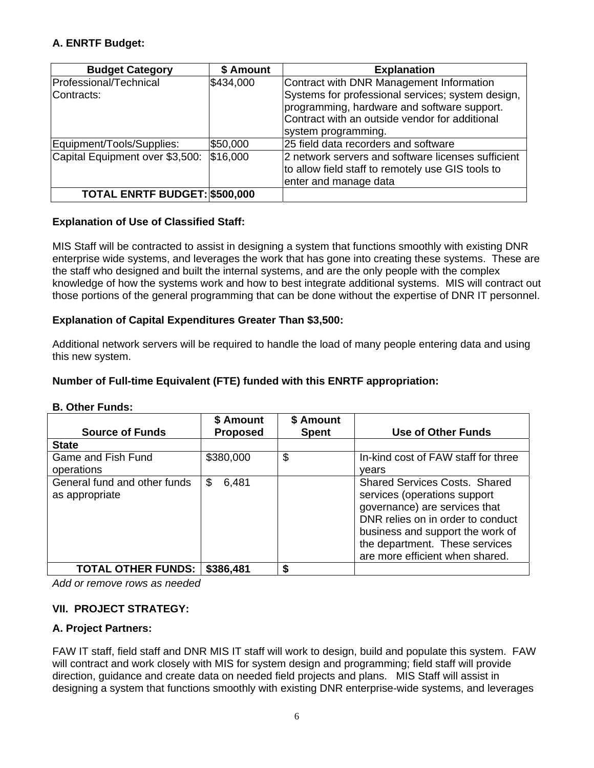# **A. ENRTF Budget:**

| <b>Budget Category</b>                | \$ Amount | <b>Explanation</b>                                                                                                                           |
|---------------------------------------|-----------|----------------------------------------------------------------------------------------------------------------------------------------------|
| Professional/Technical<br>lContracts: | \$434,000 | Contract with DNR Management Information<br>Systems for professional services; system design,<br>programming, hardware and software support. |
|                                       |           | Contract with an outside vendor for additional<br>system programming.                                                                        |
| Equipment/Tools/Supplies:             | \$50,000  | 25 field data recorders and software                                                                                                         |
| Capital Equipment over \$3,500:       | \$16,000  | 2 network servers and software licenses sufficient<br>to allow field staff to remotely use GIS tools to<br>enter and manage data             |
| TOTAL ENRTF BUDGET: \$500,000         |           |                                                                                                                                              |

# **Explanation of Use of Classified Staff:**

MIS Staff will be contracted to assist in designing a system that functions smoothly with existing DNR enterprise wide systems, and leverages the work that has gone into creating these systems. These are the staff who designed and built the internal systems, and are the only people with the complex knowledge of how the systems work and how to best integrate additional systems. MIS will contract out those portions of the general programming that can be done without the expertise of DNR IT personnel.

# **Explanation of Capital Expenditures Greater Than \$3,500:**

Additional network servers will be required to handle the load of many people entering data and using this new system.

# **Number of Full-time Equivalent (FTE) funded with this ENRTF appropriation:**

| <b>Source of Funds</b>                         | \$ Amount<br><b>Proposed</b> | \$ Amount<br><b>Spent</b> | <b>Use of Other Funds</b>                                                                                                                                                                                                                           |
|------------------------------------------------|------------------------------|---------------------------|-----------------------------------------------------------------------------------------------------------------------------------------------------------------------------------------------------------------------------------------------------|
| <b>State</b>                                   |                              |                           |                                                                                                                                                                                                                                                     |
| Game and Fish Fund<br>operations               | \$380,000                    | \$                        | In-kind cost of FAW staff for three<br>vears                                                                                                                                                                                                        |
| General fund and other funds<br>as appropriate | \$<br>6,481                  |                           | <b>Shared Services Costs. Shared</b><br>services (operations support<br>governance) are services that<br>DNR relies on in order to conduct<br>business and support the work of<br>the department. These services<br>are more efficient when shared. |
| <b>TOTAL OTHER FUNDS:</b>                      | \$386,481                    | \$                        |                                                                                                                                                                                                                                                     |

# **B. Other Funds:**

*Add or remove rows as needed*

# **VII. PROJECT STRATEGY:**

# **A. Project Partners:**

FAW IT staff, field staff and DNR MIS IT staff will work to design, build and populate this system. FAW will contract and work closely with MIS for system design and programming; field staff will provide direction, guidance and create data on needed field projects and plans. MIS Staff will assist in designing a system that functions smoothly with existing DNR enterprise-wide systems, and leverages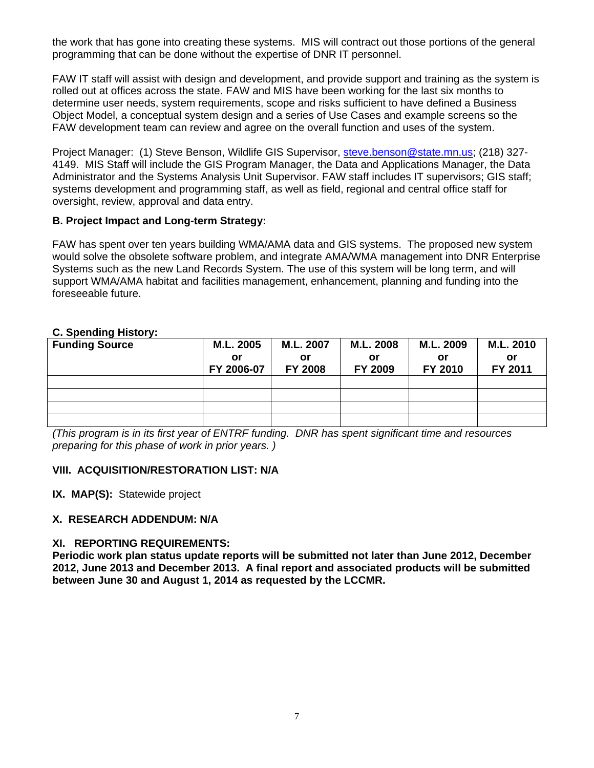the work that has gone into creating these systems. MIS will contract out those portions of the general programming that can be done without the expertise of DNR IT personnel.

FAW IT staff will assist with design and development, and provide support and training as the system is rolled out at offices across the state. FAW and MIS have been working for the last six months to determine user needs, system requirements, scope and risks sufficient to have defined a Business Object Model, a conceptual system design and a series of Use Cases and example screens so the FAW development team can review and agree on the overall function and uses of the system.

Project Manager: (1) Steve Benson, Wildlife GIS Supervisor, steve.benson@state.mn.us; (218) 327- 4149. MIS Staff will include the GIS Program Manager, the Data and Applications Manager, the Data Administrator and the Systems Analysis Unit Supervisor. FAW staff includes IT supervisors; GIS staff; systems development and programming staff, as well as field, regional and central office staff for oversight, review, approval and data entry.

# **B. Project Impact and Long-term Strategy:**

FAW has spent over ten years building WMA/AMA data and GIS systems. The proposed new system would solve the obsolete software problem, and integrate AMA/WMA management into DNR Enterprise Systems such as the new Land Records System. The use of this system will be long term, and will support WMA/AMA habitat and facilities management, enhancement, planning and funding into the foreseeable future.

# **C. Spending History:**

| <b>Funding Source</b> | M.L. 2005  | M.L. 2007      | M.L. 2008 | M.L. 2009 | M.L. 2010 |
|-----------------------|------------|----------------|-----------|-----------|-----------|
|                       | or         | or             | or        | Οľ        | or        |
|                       | FY 2006-07 | <b>FY 2008</b> | FY 2009   | FY 2010   | FY 2011   |
|                       |            |                |           |           |           |
|                       |            |                |           |           |           |
|                       |            |                |           |           |           |
|                       |            |                |           |           |           |

*(This program is in its first year of ENTRF funding. DNR has spent significant time and resources preparing for this phase of work in prior years. )*

### **VIII. ACQUISITION/RESTORATION LIST: N/A**

**IX. MAP(S):** Statewide project

## **X. RESEARCH ADDENDUM: N/A**

#### **XI. REPORTING REQUIREMENTS:**

**Periodic work plan status update reports will be submitted not later than June 2012, December 2012, June 2013 and December 2013. A final report and associated products will be submitted between June 30 and August 1, 2014 as requested by the LCCMR.**